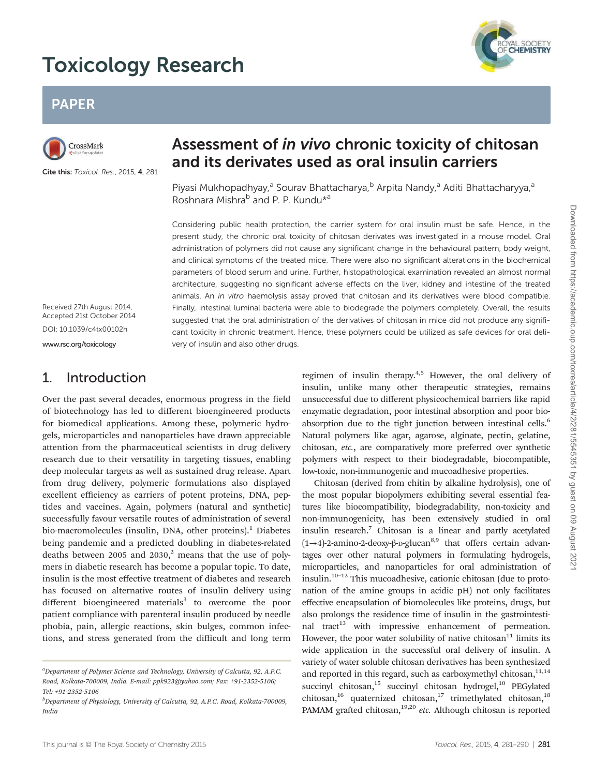# Toxicology Research



# PAPER



Cite this: Toxicol. Res., 2015, 4, 281

# Assessment of in vivo chronic toxicity of chitosan and its derivates used as oral insulin carriers

Piyasi Mukhopadhyay,<sup>a</sup> Sourav Bhattacharya, <sup>b</sup> Arpita Nandy,<sup>a</sup> Aditi Bhattacharyya,<sup>a</sup> Roshnara Mishra<sup>b</sup> and P. P. Kundu<sup>\*a</sup>

Considering public health protection, the carrier system for oral insulin must be safe. Hence, in the present study, the chronic oral toxicity of chitosan derivates was investigated in a mouse model. Oral administration of polymers did not cause any significant change in the behavioural pattern, body weight, and clinical symptoms of the treated mice. There were also no significant alterations in the biochemical parameters of blood serum and urine. Further, histopathological examination revealed an almost normal architecture, suggesting no significant adverse effects on the liver, kidney and intestine of the treated animals. An in vitro haemolysis assay proved that chitosan and its derivatives were blood compatible. Finally, intestinal luminal bacteria were able to biodegrade the polymers completely. Overall, the results suggested that the oral administration of the derivatives of chitosan in mice did not produce any significant toxicity in chronic treatment. Hence, these polymers could be utilized as safe devices for oral delivery of insulin and also other drugs.

Received 27th August 2014, Accepted 21st October 2014 DOI: 10.1039/c4tx00102h

www.rsc.org/toxicology

### 1. Introduction

Over the past several decades, enormous progress in the field of biotechnology has led to different bioengineered products for biomedical applications. Among these, polymeric hydrogels, microparticles and nanoparticles have drawn appreciable attention from the pharmaceutical scientists in drug delivery research due to their versatility in targeting tissues, enabling deep molecular targets as well as sustained drug release. Apart from drug delivery, polymeric formulations also displayed excellent efficiency as carriers of potent proteins, DNA, peptides and vaccines. Again, polymers (natural and synthetic) successfully favour versatile routes of administration of several bio-macromolecules (insulin, DNA, other proteins).<sup>1</sup> Diabetes being pandemic and a predicted doubling in diabetes-related deaths between 2005 and 2030, $^2$  means that the use of polymers in diabetic research has become a popular topic. To date, insulin is the most effective treatment of diabetes and research has focused on alternative routes of insulin delivery using different bioengineered materials<sup>3</sup> to overcome the poor patient compliance with parenteral insulin produced by needle phobia, pain, allergic reactions, skin bulges, common infections, and stress generated from the difficult and long term regimen of insulin therapy.<sup>4,5</sup> However, the oral delivery of insulin, unlike many other therapeutic strategies, remains unsuccessful due to different physicochemical barriers like rapid enzymatic degradation, poor intestinal absorption and poor bioabsorption due to the tight junction between intestinal cells.<sup>6</sup> Natural polymers like agar, agarose, alginate, pectin, gelatine, chitosan, *etc.*, are comparatively more preferred over synthetic polymers with respect to their biodegradable, biocompatible, low-toxic, non-immunogenic and mucoadhesive properties.

Chitosan (derived from chitin by alkaline hydrolysis), one of the most popular biopolymers exhibiting several essential features like biocompatibility, biodegradability, non-toxicity and non-immunogenicity, has been extensively studied in oral insulin research.<sup>7</sup> Chitosan is a linear and partly acetylated  $(1\rightarrow 4)$ -2-amino-2-deoxy-β-p-glucan<sup>8,9</sup> that offers certain advantages over other natural polymers in formulating hydrogels, microparticles, and nanoparticles for oral administration of insulin.10–<sup>12</sup> This mucoadhesive, cationic chitosan (due to protonation of the amine groups in acidic pH) not only facilitates effective encapsulation of biomolecules like proteins, drugs, but also prolongs the residence time of insulin in the gastrointestinal tract<sup>13</sup> with impressive enhancement of permeation. However, the poor water solubility of native chitosan $11$  limits its wide application in the successful oral delivery of insulin. A variety of water soluble chitosan derivatives has been synthesized and reported in this regard, such as carboxymethyl chitosan, $11,14$ succinyl chitosan,<sup>15</sup> succinyl chitosan hydrogel,<sup>10</sup> PEGylated chitosan,<sup>16</sup> quaternized chitosan,<sup>17</sup> trimethylated chitosan,<sup>18</sup> PAMAM grafted chitosan,<sup>19,20</sup> etc. Although chitosan is reported

*<sup>a</sup>Department of Polymer Science and Technology, University of Calcutta, 92, A.P.C. Road, Kolkata-700009, India. E-mail: ppk923@yahoo.com; Fax: +91-2352-5106; Tel: +91-2352-5106*

*<sup>b</sup>Department of Physiology, University of Calcutta, 92, A.P.C. Road, Kolkata-700009, India*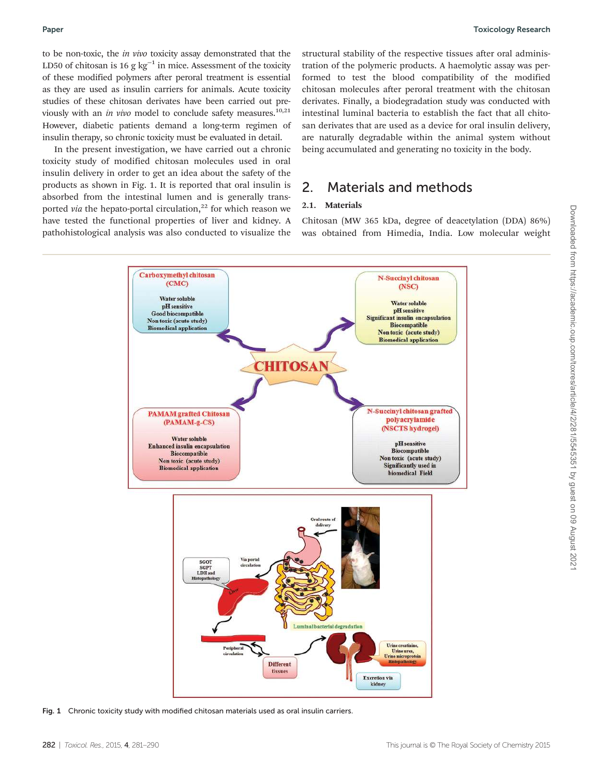to be non-toxic, the *in vivo* toxicity assay demonstrated that the LD50 of chitosan is 16 g kg−<sup>1</sup> in mice. Assessment of the toxicity of these modified polymers after peroral treatment is essential as they are used as insulin carriers for animals. Acute toxicity studies of these chitosan derivates have been carried out previously with an *in vivo* model to conclude safety measures.<sup>10,21</sup> However, diabetic patients demand a long-term regimen of insulin therapy, so chronic toxicity must be evaluated in detail.

In the present investigation, we have carried out a chronic toxicity study of modified chitosan molecules used in oral insulin delivery in order to get an idea about the safety of the products as shown in Fig. 1. It is reported that oral insulin is absorbed from the intestinal lumen and is generally transported *via* the hepato-portal circulation,<sup>22</sup> for which reason we have tested the functional properties of liver and kidney. A pathohistological analysis was also conducted to visualize the structural stability of the respective tissues after oral administration of the polymeric products. A haemolytic assay was performed to test the blood compatibility of the modified chitosan molecules after peroral treatment with the chitosan derivates. Finally, a biodegradation study was conducted with intestinal luminal bacteria to establish the fact that all chitosan derivates that are used as a device for oral insulin delivery, are naturally degradable within the animal system without being accumulated and generating no toxicity in the body.

### 2. Materials and methods

#### 2.1. Materials

Chitosan (MW 365 kDa, degree of deacetylation (DDA) 86%) was obtained from Himedia, India. Low molecular weight



Fig. 1 Chronic toxicity study with modified chitosan materials used as oral insulin carriers.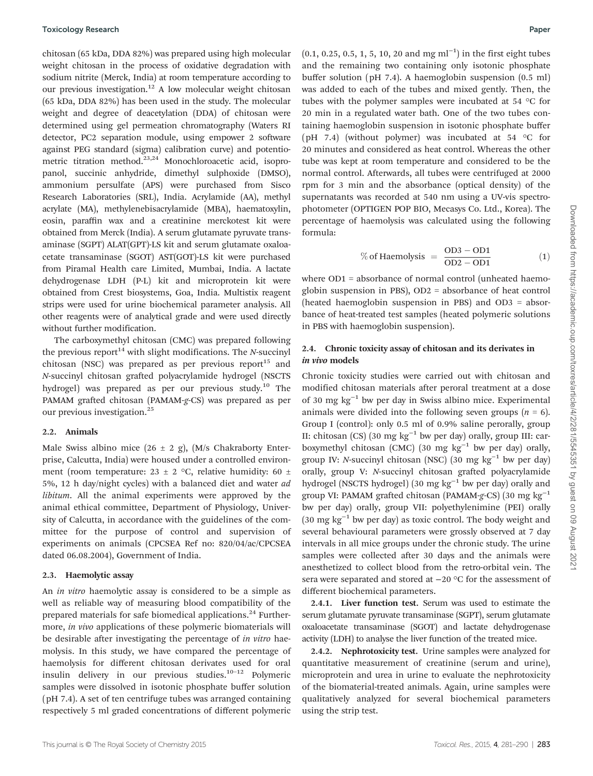chitosan (65 kDa, DDA 82%) was prepared using high molecular weight chitosan in the process of oxidative degradation with sodium nitrite (Merck, India) at room temperature according to our previous investigation.<sup>12</sup> A low molecular weight chitosan (65 kDa, DDA 82%) has been used in the study. The molecular weight and degree of deacetylation (DDA) of chitosan were determined using gel permeation chromatography (Waters RI detector, PC2 separation module, using empower 2 software against PEG standard (sigma) calibration curve) and potentiometric titration method.<sup>23,24</sup> Monochloroacetic acid, isopropanol, succinic anhydride, dimethyl sulphoxide (DMSO), ammonium persulfate (APS) were purchased from Sisco Research Laboratories (SRL), India. Acrylamide (AA), methyl acrylate (MA), methylenebisacrylamide (MBA), haematoxylin, eosin, paraffin wax and a creatinine merckotest kit were obtained from Merck (India). A serum glutamate pyruvate transaminase (SGPT) ALAT(GPT)-LS kit and serum glutamate oxaloacetate transaminase (SGOT) AST(GOT)-LS kit were purchased from Piramal Health care Limited, Mumbai, India. A lactate dehydrogenase LDH (P-L) kit and microprotein kit were obtained from Crest biosystems, Goa, India. Multistix reagent strips were used for urine biochemical parameter analysis. All other reagents were of analytical grade and were used directly without further modification.

The carboxymethyl chitosan (CMC) was prepared following the previous report<sup>14</sup> with slight modifications. The *N*-succinyl chitosan (NSC) was prepared as per previous report $15$  and *N*-succinyl chitosan grafted polyacrylamide hydrogel (NSCTS hydrogel) was prepared as per our previous study.<sup>10</sup> The PAMAM grafted chitosan (PAMAM-*g*-CS) was prepared as per our previous investigation.<sup>25</sup>

#### 2.2. Animals

Male Swiss albino mice  $(26 \pm 2 \text{ g})$ ,  $(M/s$  Chakraborty Enterprise, Calcutta, India) were housed under a controlled environment (room temperature: 23  $\pm$  2 °C, relative humidity: 60  $\pm$ 5%, 12 h day/night cycles) with a balanced diet and water *ad libitum*. All the animal experiments were approved by the animal ethical committee, Department of Physiology, University of Calcutta, in accordance with the guidelines of the committee for the purpose of control and supervision of experiments on animals (CPCSEA Ref no: 820/04/ac/CPCSEA dated 06.08.2004), Government of India.

#### 2.3. Haemolytic assay

An *in vitro* haemolytic assay is considered to be a simple as well as reliable way of measuring blood compatibility of the prepared materials for safe biomedical applications. $^{24}$  Furthermore, *in vivo* applications of these polymeric biomaterials will be desirable after investigating the percentage of *in vitro* haemolysis. In this study, we have compared the percentage of haemolysis for different chitosan derivates used for oral insulin delivery in our previous studies. $10^{-12}$  Polymeric samples were dissolved in isotonic phosphate buffer solution (pH 7.4). A set of ten centrifuge tubes was arranged containing respectively 5 ml graded concentrations of different polymeric

 $(0.1, 0.25, 0.5, 1, 5, 10, 20$  and mg ml<sup>-1</sup>) in the first eight tubes and the remaining two containing only isotonic phosphate buffer solution (pH 7.4). A haemoglobin suspension (0.5 ml) was added to each of the tubes and mixed gently. Then, the tubes with the polymer samples were incubated at 54 °C for 20 min in a regulated water bath. One of the two tubes containing haemoglobin suspension in isotonic phosphate buffer (pH 7.4) (without polymer) was incubated at 54  $\degree$ C for 20 minutes and considered as heat control. Whereas the other tube was kept at room temperature and considered to be the normal control. Afterwards, all tubes were centrifuged at 2000 rpm for 3 min and the absorbance (optical density) of the supernatants was recorded at 540 nm using a UV-vis spectrophotometer (OPTIGEN POP BIO, Mecasys Co. Ltd., Korea). The percentage of haemolysis was calculated using the following formula:

% of Haemolysis = 
$$
\frac{OD3 - OD1}{OD2 - OD1}
$$
 (1)

where OD1 = absorbance of normal control (unheated haemoglobin suspension in PBS), OD2 = absorbance of heat control (heated haemoglobin suspension in PBS) and OD3 = absorbance of heat-treated test samples (heated polymeric solutions in PBS with haemoglobin suspension).

#### 2.4. Chronic toxicity assay of chitosan and its derivates in in vivo models

Chronic toxicity studies were carried out with chitosan and modified chitosan materials after peroral treatment at a dose of 30 mg kg−<sup>1</sup> bw per day in Swiss albino mice. Experimental animals were divided into the following seven groups  $(n = 6)$ . Group I (control): only 0.5 ml of 0.9% saline perorally, group II: chitosan (CS) (30 mg kg−<sup>1</sup> bw per day) orally, group III: carboxymethyl chitosan (CMC) (30 mg kg<sup>-1</sup> bw per day) orally, group IV: *N*-succinyl chitosan (NSC) (30 mg kg<sup>-1</sup> bw per day) orally, group V: *N*-succinyl chitosan grafted polyacrylamide hydrogel (NSCTS hydrogel) (30 mg kg−<sup>1</sup> bw per day) orally and group VI: PAMAM grafted chitosan (PAMAM-*g*-CS) (30 mg kg−<sup>1</sup> bw per day) orally, group VII: polyethylenimine (PEI) orally (30 mg kg−<sup>1</sup> bw per day) as toxic control. The body weight and several behavioural parameters were grossly observed at 7 day intervals in all mice groups under the chronic study. The urine samples were collected after 30 days and the animals were anesthetized to collect blood from the retro-orbital vein. The sera were separated and stored at −20 °C for the assessment of different biochemical parameters.

2.4.1. Liver function test. Serum was used to estimate the serum glutamate pyruvate transaminase (SGPT), serum glutamate oxaloacetate transaminase (SGOT) and lactate dehydrogenase activity (LDH) to analyse the liver function of the treated mice.

2.4.2. Nephrotoxicity test. Urine samples were analyzed for quantitative measurement of creatinine (serum and urine), microprotein and urea in urine to evaluate the nephrotoxicity of the biomaterial-treated animals. Again, urine samples were qualitatively analyzed for several biochemical parameters using the strip test.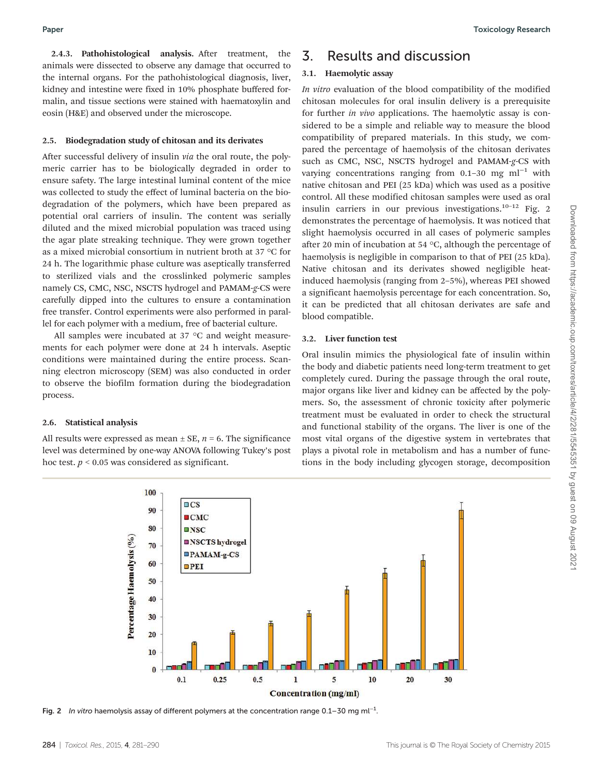2.4.3. Pathohistological analysis. After treatment, the animals were dissected to observe any damage that occurred to the internal organs. For the pathohistological diagnosis, liver, kidney and intestine were fixed in 10% phosphate buffered formalin, and tissue sections were stained with haematoxylin and eosin (H&E) and observed under the microscope.

#### 2.5. Biodegradation study of chitosan and its derivates

After successful delivery of insulin *via* the oral route, the polymeric carrier has to be biologically degraded in order to ensure safety. The large intestinal luminal content of the mice was collected to study the effect of luminal bacteria on the biodegradation of the polymers, which have been prepared as potential oral carriers of insulin. The content was serially diluted and the mixed microbial population was traced using the agar plate streaking technique. They were grown together as a mixed microbial consortium in nutrient broth at 37 °C for 24 h. The logarithmic phase culture was aseptically transferred to sterilized vials and the crosslinked polymeric samples namely CS, CMC, NSC, NSCTS hydrogel and PAMAM-*g*-CS were carefully dipped into the cultures to ensure a contamination free transfer. Control experiments were also performed in parallel for each polymer with a medium, free of bacterial culture.

All samples were incubated at 37 °C and weight measurements for each polymer were done at 24 h intervals. Aseptic conditions were maintained during the entire process. Scanning electron microscopy (SEM) was also conducted in order to observe the biofilm formation during the biodegradation process.

#### 2.6. Statistical analysis

All results were expressed as mean  $\pm$  SE,  $n = 6$ . The significance level was determined by one-way ANOVA following Tukey's post hoc test.  $p < 0.05$  was considered as significant.

### 3. Results and discussion

#### 3.1. Haemolytic assay

*In vitro* evaluation of the blood compatibility of the modified chitosan molecules for oral insulin delivery is a prerequisite for further *in vivo* applications. The haemolytic assay is considered to be a simple and reliable way to measure the blood compatibility of prepared materials. In this study, we compared the percentage of haemolysis of the chitosan derivates such as CMC, NSC, NSCTS hydrogel and PAMAM-*g*-CS with varying concentrations ranging from 0.1–30 mg ml<sup>-1</sup> with native chitosan and PEI (25 kDa) which was used as a positive control. All these modified chitosan samples were used as oral insulin carriers in our previous investigations.<sup>10-12</sup> Fig. 2 demonstrates the percentage of haemolysis. It was noticed that slight haemolysis occurred in all cases of polymeric samples after 20 min of incubation at 54  $\degree$ C, although the percentage of haemolysis is negligible in comparison to that of PEI (25 kDa). Native chitosan and its derivates showed negligible heatinduced haemolysis (ranging from 2–5%), whereas PEI showed a significant haemolysis percentage for each concentration. So, it can be predicted that all chitosan derivates are safe and blood compatible.

#### 3.2. Liver function test

Oral insulin mimics the physiological fate of insulin within the body and diabetic patients need long-term treatment to get completely cured. During the passage through the oral route, major organs like liver and kidney can be affected by the polymers. So, the assessment of chronic toxicity after polymeric treatment must be evaluated in order to check the structural and functional stability of the organs. The liver is one of the most vital organs of the digestive system in vertebrates that plays a pivotal role in metabolism and has a number of functions in the body including glycogen storage, decomposition



Fig. 2 In vitro haemolysis assay of different polymers at the concentration range 0.1–30 mg ml<sup>-1</sup>.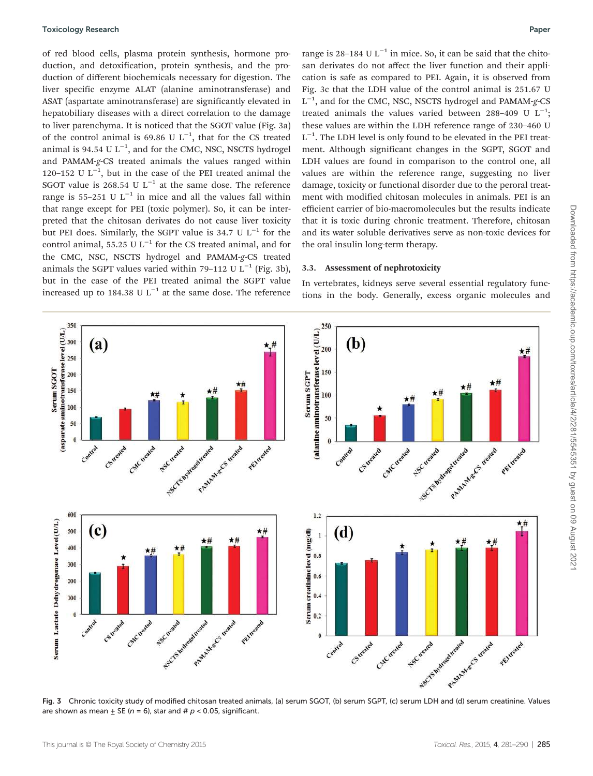of red blood cells, plasma protein synthesis, hormone production, and detoxification, protein synthesis, and the production of different biochemicals necessary for digestion. The liver specific enzyme ALAT (alanine aminotransferase) and ASAT (aspartate aminotransferase) are significantly elevated in hepatobiliary diseases with a direct correlation to the damage to liver parenchyma. It is noticed that the SGOT value (Fig. 3a) of the control animal is 69.86 U  $L^{-1}$ , that for the CS treated animal is 94.54 U  $L^{-1}$ , and for the CMC, NSC, NSCTS hydrogel and PAMAM-*g*-CS treated animals the values ranged within 120–152 U  $L^{-1}$ , but in the case of the PEI treated animal the SGOT value is 268.54 U  $L^{-1}$  at the same dose. The reference range is 55–251 U  $L^{-1}$  in mice and all the values fall within that range except for PEI (toxic polymer). So, it can be interpreted that the chitosan derivates do not cause liver toxicity but PEI does. Similarly, the SGPT value is 34.7 U L−<sup>1</sup> for the control animal, 55.25 U L<sup>-1</sup> for the CS treated animal, and for the CMC, NSC, NSCTS hydrogel and PAMAM-*g*-CS treated animals the SGPT values varied within 79-112 U  $L^{-1}$  (Fig. 3b), but in the case of the PEI treated animal the SGPT value increased up to 184.38 U L<sup>-1</sup> at the same dose. The reference

range is 28-184 U L<sup>-1</sup> in mice. So, it can be said that the chitosan derivates do not affect the liver function and their application is safe as compared to PEI. Again, it is observed from Fig. 3c that the LDH value of the control animal is 251.67 U L −1 , and for the CMC, NSC, NSCTS hydrogel and PAMAM-*g*-CS treated animals the values varied between 288-409 U  $L^{-1}$ ; these values are within the LDH reference range of 230–460 U L<sup>-1</sup>. The LDH level is only found to be elevated in the PEI treatment. Although significant changes in the SGPT, SGOT and LDH values are found in comparison to the control one, all values are within the reference range, suggesting no liver damage, toxicity or functional disorder due to the peroral treatment with modified chitosan molecules in animals. PEI is an efficient carrier of bio-macromolecules but the results indicate that it is toxic during chronic treatment. Therefore, chitosan and its water soluble derivatives serve as non-toxic devices for the oral insulin long-term therapy.

#### 3.3. Assessment of nephrotoxicity

In vertebrates, kidneys serve several essential regulatory functions in the body. Generally, excess organic molecules and



Fig. 3 Chronic toxicity study of modified chitosan treated animals, (a) serum SGOT, (b) serum SGPT, (c) serum LDH and (d) serum creatinine. Values are shown as mean  $\pm$  SE (n = 6), star and # p < 0.05, significant.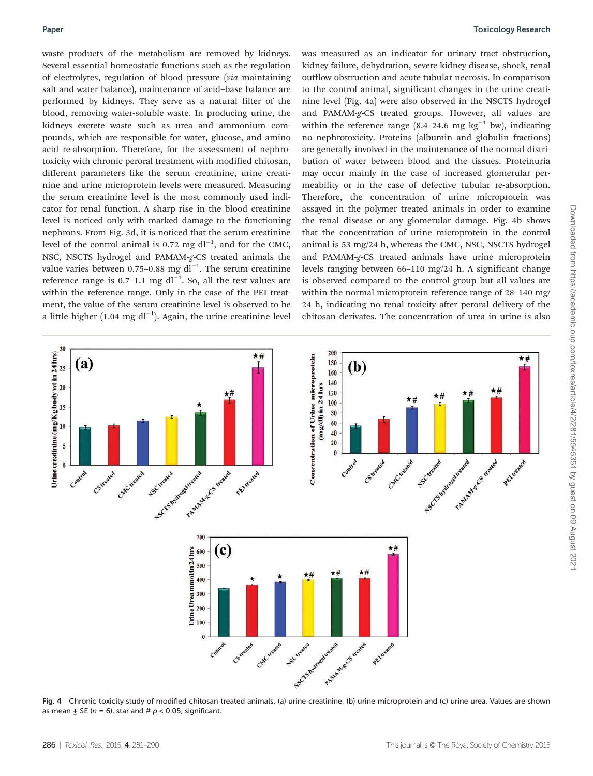waste products of the metabolism are removed by kidneys. Several essential homeostatic functions such as the regulation of electrolytes, regulation of blood pressure (*via* maintaining salt and water balance), maintenance of acid–base balance are performed by kidneys. They serve as a natural filter of the blood, removing water-soluble waste. In producing urine, the kidneys excrete waste such as urea and ammonium compounds, which are responsible for water, glucose, and amino acid re-absorption. Therefore, for the assessment of nephrotoxicity with chronic peroral treatment with modified chitosan, different parameters like the serum creatinine, urine creatinine and urine microprotein levels were measured. Measuring the serum creatinine level is the most commonly used indicator for renal function. A sharp rise in the blood creatinine level is noticed only with marked damage to the functioning nephrons. From Fig. 3d, it is noticed that the serum creatinine level of the control animal is 0.72 mg dl<sup>-1</sup>, and for the CMC, NSC, NSCTS hydrogel and PAMAM-*g*-CS treated animals the value varies between 0.75-0.88 mg dl<sup>-1</sup>. The serum creatinine reference range is 0.7–1.1 mg dl<sup>-1</sup>. So, all the test values are within the reference range. Only in the case of the PEI treatment, the value of the serum creatinine level is observed to be a little higher (1.04 mg dl−<sup>1</sup> ). Again, the urine creatinine level

was measured as an indicator for urinary tract obstruction, kidney failure, dehydration, severe kidney disease, shock, renal outflow obstruction and acute tubular necrosis. In comparison to the control animal, significant changes in the urine creatinine level (Fig. 4a) were also observed in the NSCTS hydrogel and PAMAM-*g*-CS treated groups. However, all values are within the reference range  $(8.4-24.6 \text{ mg kg}^{-1} \text{ bw})$ , indicating no nephrotoxicity. Proteins (albumin and globulin fractions) are generally involved in the maintenance of the normal distribution of water between blood and the tissues. Proteinuria may occur mainly in the case of increased glomerular permeability or in the case of defective tubular re-absorption. Therefore, the concentration of urine microprotein was assayed in the polymer treated animals in order to examine the renal disease or any glomerular damage. Fig. 4b shows that the concentration of urine microprotein in the control animal is 53 mg/24 h, whereas the CMC, NSC, NSCTS hydrogel and PAMAM-*g*-CS treated animals have urine microprotein levels ranging between 66–110 mg/24 h. A significant change is observed compared to the control group but all values are within the normal microprotein reference range of 28–140 mg/ 24 h, indicating no renal toxicity after peroral delivery of the chitosan derivates. The concentration of urea in urine is also



Fig. 4 Chronic toxicity study of modified chitosan treated animals, (a) urine creatinine, (b) urine microprotein and (c) urine urea. Values are shown as mean  $\pm$  SE (n = 6), star and #  $p$  < 0.05, significant.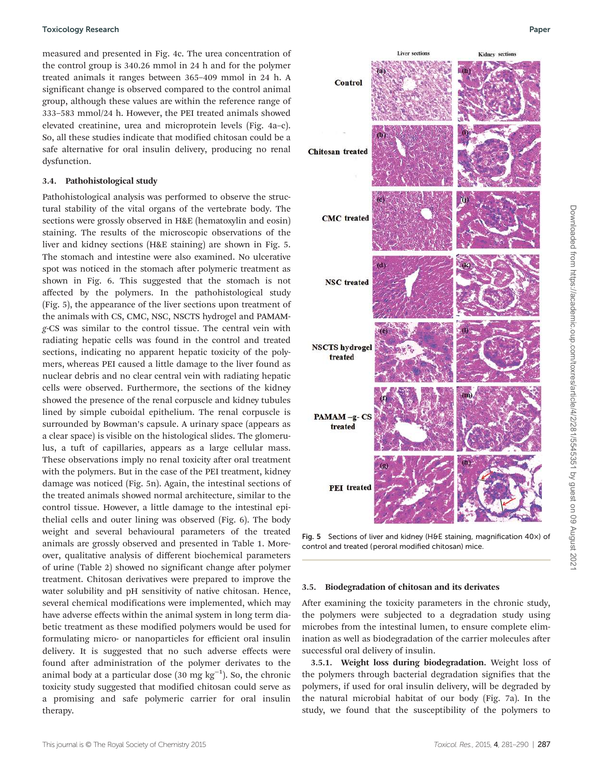measured and presented in Fig. 4c. The urea concentration of the control group is 340.26 mmol in 24 h and for the polymer treated animals it ranges between 365–409 mmol in 24 h. A significant change is observed compared to the control animal group, although these values are within the reference range of 333–583 mmol/24 h. However, the PEI treated animals showed elevated creatinine, urea and microprotein levels (Fig. 4a–c). So, all these studies indicate that modified chitosan could be a safe alternative for oral insulin delivery, producing no renal dysfunction.

#### 3.4. Pathohistological study

Pathohistological analysis was performed to observe the structural stability of the vital organs of the vertebrate body. The sections were grossly observed in H&E (hematoxylin and eosin) staining. The results of the microscopic observations of the liver and kidney sections (H&E staining) are shown in Fig. 5. The stomach and intestine were also examined. No ulcerative spot was noticed in the stomach after polymeric treatment as shown in Fig. 6. This suggested that the stomach is not affected by the polymers. In the pathohistological study (Fig. 5), the appearance of the liver sections upon treatment of the animals with CS, CMC, NSC, NSCTS hydrogel and PAMAM*g*-CS was similar to the control tissue. The central vein with radiating hepatic cells was found in the control and treated sections, indicating no apparent hepatic toxicity of the polymers, whereas PEI caused a little damage to the liver found as nuclear debris and no clear central vein with radiating hepatic cells were observed. Furthermore, the sections of the kidney showed the presence of the renal corpuscle and kidney tubules lined by simple cuboidal epithelium. The renal corpuscle is surrounded by Bowman's capsule. A urinary space (appears as a clear space) is visible on the histological slides. The glomerulus, a tuft of capillaries, appears as a large cellular mass. These observations imply no renal toxicity after oral treatment with the polymers. But in the case of the PEI treatment, kidney damage was noticed (Fig. 5n). Again, the intestinal sections of the treated animals showed normal architecture, similar to the control tissue. However, a little damage to the intestinal epithelial cells and outer lining was observed (Fig. 6). The body weight and several behavioural parameters of the treated animals are grossly observed and presented in Table 1. Moreover, qualitative analysis of different biochemical parameters of urine (Table 2) showed no significant change after polymer treatment. Chitosan derivatives were prepared to improve the water solubility and pH sensitivity of native chitosan. Hence, several chemical modifications were implemented, which may have adverse effects within the animal system in long term diabetic treatment as these modified polymers would be used for formulating micro- or nanoparticles for efficient oral insulin delivery. It is suggested that no such adverse effects were found after administration of the polymer derivates to the animal body at a particular dose  $(30 \text{ mg kg}^{-1})$ . So, the chronic toxicity study suggested that modified chitosan could serve as a promising and safe polymeric carrier for oral insulin therapy.



Fig. 5 Sections of liver and kidney (H&E staining, magnification 40x) of control and treated (peroral modified chitosan) mice.

#### 3.5. Biodegradation of chitosan and its derivates

After examining the toxicity parameters in the chronic study, the polymers were subjected to a degradation study using microbes from the intestinal lumen, to ensure complete elimination as well as biodegradation of the carrier molecules after successful oral delivery of insulin.

3.5.1. Weight loss during biodegradation. Weight loss of the polymers through bacterial degradation signifies that the polymers, if used for oral insulin delivery, will be degraded by the natural microbial habitat of our body (Fig. 7a). In the study, we found that the susceptibility of the polymers to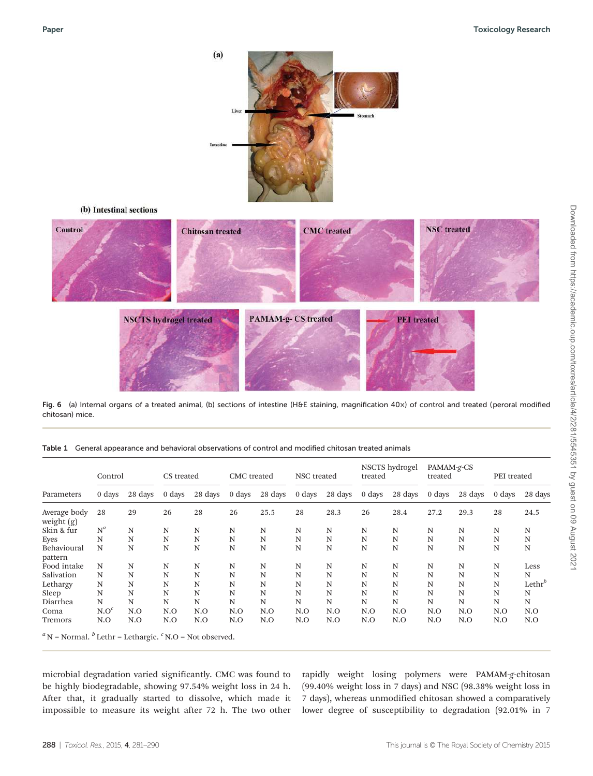

Fig. 6 (a) Internal organs of a treated animal, (b) sections of intestine (H&E staining, magnification 40×) of control and treated (peroral modified chitosan) mice.

| Parameters                   | Control          |         | CS treated |         | CMC treated |         | NSC treated |         | NSCTS hydrogel<br>treated |             | PAMAM-g-CS<br>treated |         | PEI treated |             |
|------------------------------|------------------|---------|------------|---------|-------------|---------|-------------|---------|---------------------------|-------------|-----------------------|---------|-------------|-------------|
|                              | 0 days           | 28 days | 0 days     | 28 days | 0 days      | 28 days | 0 days      | 28 days | 0 days                    | 28 days     | 0 days                | 28 days | 0 days      | 28 days     |
| Average body<br>weight $(g)$ | 28               | 29      | 26         | 28      | 26          | 25.5    | 28          | 28.3    | 26                        | 28.4        | 27.2                  | 29.3    | 28          | 24.5        |
| Skin & fur                   | $N^a$            | N       | N          | N       | N           | N       | N           | N       | N                         | N           | N                     | N       | N           | N           |
| Eyes                         | N                | N       | N          | N       | N           | N       | N           | N       | N                         | N           | N                     | N       | N           | N           |
| Behavioural<br>pattern       | N                | N       | N          | N       | N           | N       | N           | N       | N                         | N           | N                     | N       | N           | $\mathbf N$ |
| Food intake                  | N                | N       | N          | N       | N           | N       | N           | N       | N                         | $\mathbf N$ | N                     | N       | $\mathbb N$ | Less        |
| Salivation                   | N                | N       | N          | N       | N           | N       | N           | N       | N                         | N           | N                     | N       | N           | N           |
| Lethargy                     | N                | N       | N          | N       | N           | N       | N           | N       | N                         | N           | N                     | N       | N           | $Lethr^b$   |
| Sleep                        | N                | N       | N          | N       | N           | N       | N           | N       | N                         | N           | N                     | N       | N           | N           |
| Diarrhea                     | N                | N       | N          | N       | N           | N       | N           | N       | N                         | N           | N                     | N       | $\mathbb N$ | N           |
| Coma                         | N.O <sup>c</sup> | N.O     | N.O        | N.O     | N.O         | N.O     | N.O         | N.O     | N.O                       | N.O         | N.O                   | N.O     | N.O         | N.O         |
| Tremors                      | N.O              | N.O     | N.O        | N.O     | N.O         | N.O     | N.O         | N.O     | N.O                       | N.O         | N.O                   | N.O     | N.O         | N.O         |

Table 1 General appearance and behavioral observations of control and modified chitosan treated animals

microbial degradation varied significantly. CMC was found to be highly biodegradable, showing 97.54% weight loss in 24 h. After that, it gradually started to dissolve, which made it impossible to measure its weight after 72 h. The two other

rapidly weight losing polymers were PAMAM-*g*-chitosan (99.40% weight loss in 7 days) and NSC (98.38% weight loss in 7 days), whereas unmodified chitosan showed a comparatively lower degree of susceptibility to degradation (92.01% in 7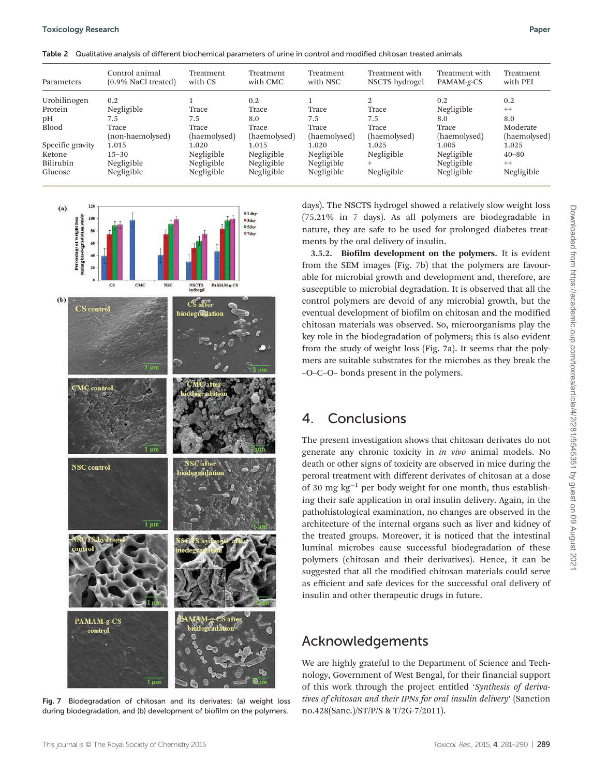|  | Table 2 Qualitative analysis of different biochemical parameters of urine in control and modified chitosan treated animals |  |  |  |  |
|--|----------------------------------------------------------------------------------------------------------------------------|--|--|--|--|
|--|----------------------------------------------------------------------------------------------------------------------------|--|--|--|--|

| Parameters       | Control animal<br>$(0.9\%$ NaCl treated) | Treatment<br>with CS | Treatment<br>with CMC | Treatment<br>with NSC | Treatment with<br>NSCTS hydrogel | Treatment with<br>PAMAM-g-CS | Treatment<br>with PEI |
|------------------|------------------------------------------|----------------------|-----------------------|-----------------------|----------------------------------|------------------------------|-----------------------|
| Urobilinogen     | 0.2                                      |                      | 0.2                   |                       | 2                                | 0.2                          | 0.2                   |
| Protein          | Negligible                               | Trace                | Trace                 | Trace                 | Trace                            | Negligible                   | $++$                  |
| pН               | 7.5                                      | 7.5                  | 8.0                   | 7.5                   | 7.5                              | 8.0                          | 8.0                   |
| <b>Blood</b>     | Trace                                    | Trace                | Trace                 | Trace                 | Trace                            | Trace                        | Moderate              |
|                  | (non-haemolysed)                         | (haemolysed)         | (haemolysed)          | (haemolysed)          | (haemolysed)                     | (haemolysed)                 | (haemolysed)          |
| Specific gravity | 1.015                                    | 1.020                | 1.015                 | 1.020                 | 1.025                            | 1.005                        | 1.025                 |
| Ketone           | $15 - 30$                                | Negligible           | Negligible            | Negligible            | Negligible                       | Negligible                   | $40 - 80$             |
| Bilirubin        | Negligible                               | Negligible           | Negligible            | Negligible            | $^{+}$                           | Negligible                   | $++$                  |
| Glucose          | Negligible                               | Negligible           | Negligible            | Negligible            | Negligible                       | Negligible                   | Negligible            |



Fig. 7 Biodegradation of chitosan and its derivates: (a) weight loss during biodegradation, and (b) development of biofilm on the polymers.

days). The NSCTS hydrogel showed a relatively slow weight loss (75.21% in 7 days). As all polymers are biodegradable in nature, they are safe to be used for prolonged diabetes treatments by the oral delivery of insulin.

3.5.2. Biofilm development on the polymers. It is evident from the SEM images (Fig. 7b) that the polymers are favourable for microbial growth and development and, therefore, are susceptible to microbial degradation. It is observed that all the control polymers are devoid of any microbial growth, but the eventual development of biofilm on chitosan and the modified chitosan materials was observed. So, microorganisms play the key role in the biodegradation of polymers; this is also evident from the study of weight loss (Fig. 7a). It seems that the polymers are suitable substrates for the microbes as they break the –O–C–O– bonds present in the polymers.

# 4. Conclusions

The present investigation shows that chitosan derivates do not generate any chronic toxicity in *in vivo* animal models. No death or other signs of toxicity are observed in mice during the peroral treatment with different derivates of chitosan at a dose of 30 mg kg−<sup>1</sup> per body weight for one month, thus establishing their safe application in oral insulin delivery. Again, in the pathohistological examination, no changes are observed in the architecture of the internal organs such as liver and kidney of the treated groups. Moreover, it is noticed that the intestinal luminal microbes cause successful biodegradation of these polymers (chitosan and their derivatives). Hence, it can be suggested that all the modified chitosan materials could serve as efficient and safe devices for the successful oral delivery of insulin and other therapeutic drugs in future.

# Acknowledgements

We are highly grateful to the Department of Science and Technology, Government of West Bengal, for their financial support of this work through the project entitled '*Synthesis of derivatives of chitosan and their IPNs for oral insulin delivery*' (Sanction no.428(Sanc.)/ST/P/S & T/2G-7/2011).